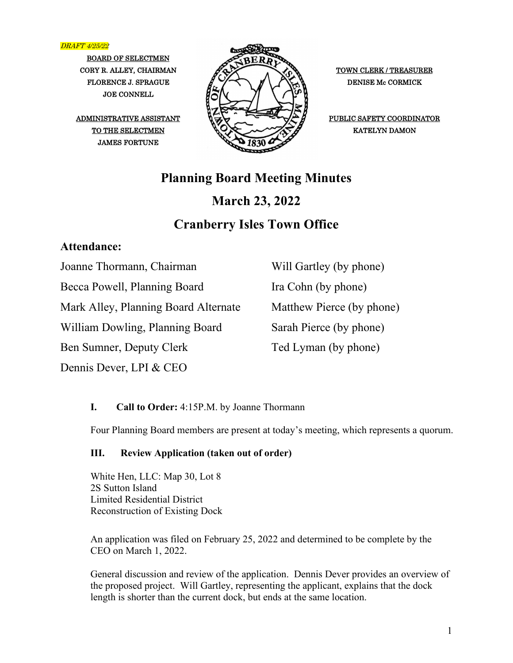DRAFT 4/25/22

BOARD OF SELECTMEN JOE CONNELL

JAMES FORTUNE



ADMINISTRATIVE ASSISTANT  $\overline{Q}$ 

# **Planning Board Meeting Minutes March 23, 2022**

# **Cranberry Isles Town Office**

## **Attendance:**

Joanne Thormann, Chairman

Becca Powell, Planning Board

Mark Alley, Planning Board Alternate

William Dowling, Planning Board

Ben Sumner, Deputy Clerk

Dennis Dever, LPI & CEO

Will Gartley (by phone) Ira Cohn (by phone) Matthew Pierce (by phone) Sarah Pierce (by phone) Ted Lyman (by phone)

## **I. Call to Order:** 4:15P.M. by Joanne Thormann

Four Planning Board members are present at today's meeting, which represents a quorum.

## **III. Review Application (taken out of order)**

White Hen, LLC: Map 30, Lot 8 2S Sutton Island Limited Residential District Reconstruction of Existing Dock

An application was filed on February 25, 2022 and determined to be complete by the CEO on March 1, 2022.

General discussion and review of the application. Dennis Dever provides an overview of the proposed project. Will Gartley, representing the applicant, explains that the dock length is shorter than the current dock, but ends at the same location.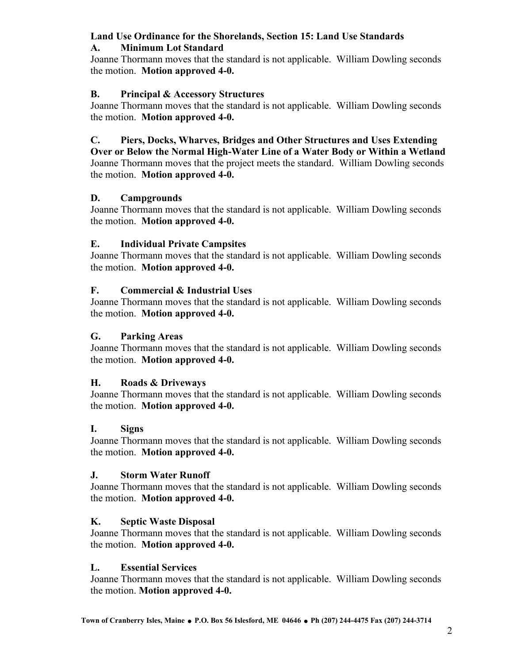## **Land Use Ordinance for the Shorelands, Section 15: Land Use Standards**

#### **A. Minimum Lot Standard**

Joanne Thormann moves that the standard is not applicable. William Dowling seconds the motion. **Motion approved 4-0.**

#### **B. Principal & Accessory Structures**

Joanne Thormann moves that the standard is not applicable. William Dowling seconds the motion. **Motion approved 4-0.**

## **C. Piers, Docks, Wharves, Bridges and Other Structures and Uses Extending**

**Over or Below the Normal High-Water Line of a Water Body or Within a Wetland**  Joanne Thormann moves that the project meets the standard. William Dowling seconds the motion. **Motion approved 4-0.**

#### **D. Campgrounds**

Joanne Thormann moves that the standard is not applicable. William Dowling seconds the motion. **Motion approved 4-0.**

#### **E. Individual Private Campsites**

Joanne Thormann moves that the standard is not applicable. William Dowling seconds the motion. **Motion approved 4-0.**

#### **F. Commercial & Industrial Uses**

Joanne Thormann moves that the standard is not applicable. William Dowling seconds the motion. **Motion approved 4-0.**

#### **G. Parking Areas**

Joanne Thormann moves that the standard is not applicable. William Dowling seconds the motion. **Motion approved 4-0.**

## **H. Roads & Driveways**

Joanne Thormann moves that the standard is not applicable. William Dowling seconds the motion. **Motion approved 4-0.**

## **I. Signs**

Joanne Thormann moves that the standard is not applicable. William Dowling seconds the motion. **Motion approved 4-0.**

#### **J. Storm Water Runoff**

Joanne Thormann moves that the standard is not applicable. William Dowling seconds the motion. **Motion approved 4-0.** 

#### **K. Septic Waste Disposal**

Joanne Thormann moves that the standard is not applicable. William Dowling seconds the motion. **Motion approved 4-0.**

#### **L. Essential Services**

Joanne Thormann moves that the standard is not applicable. William Dowling seconds the motion. **Motion approved 4-0.**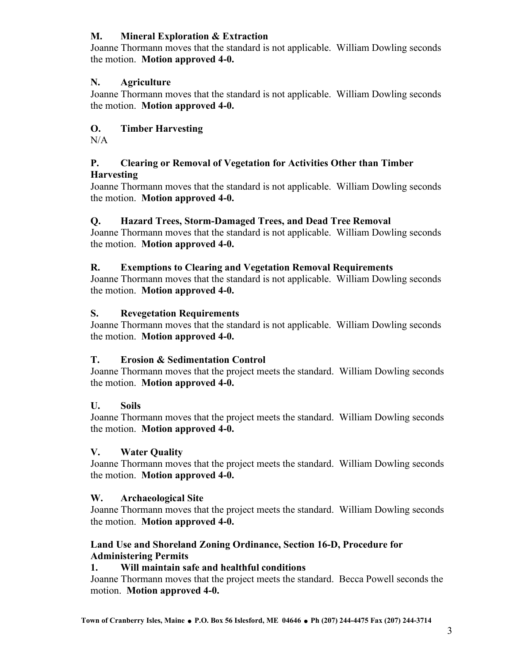## **M. Mineral Exploration & Extraction**

Joanne Thormann moves that the standard is not applicable. William Dowling seconds the motion. **Motion approved 4-0.**

## **N. Agriculture**

Joanne Thormann moves that the standard is not applicable. William Dowling seconds the motion. **Motion approved 4-0.** 

## **O. Timber Harvesting**

N/A

#### **P. Clearing or Removal of Vegetation for Activities Other than Timber Harvesting**

Joanne Thormann moves that the standard is not applicable. William Dowling seconds the motion. **Motion approved 4-0.**

## **Q. Hazard Trees, Storm-Damaged Trees, and Dead Tree Removal**

Joanne Thormann moves that the standard is not applicable. William Dowling seconds the motion. **Motion approved 4-0.**

## **R. Exemptions to Clearing and Vegetation Removal Requirements**

Joanne Thormann moves that the standard is not applicable. William Dowling seconds the motion. **Motion approved 4-0.**

## **S. Revegetation Requirements**

Joanne Thormann moves that the standard is not applicable. William Dowling seconds the motion. **Motion approved 4-0.**

## **T. Erosion & Sedimentation Control**

Joanne Thormann moves that the project meets the standard. William Dowling seconds the motion. **Motion approved 4-0.**

## **U. Soils**

Joanne Thormann moves that the project meets the standard. William Dowling seconds the motion. **Motion approved 4-0.**

## **V. Water Quality**

Joanne Thormann moves that the project meets the standard. William Dowling seconds the motion. **Motion approved 4-0.**

## **W. Archaeological Site**

Joanne Thormann moves that the project meets the standard. William Dowling seconds the motion. **Motion approved 4-0.** 

## **Land Use and Shoreland Zoning Ordinance, Section 16-D, Procedure for Administering Permits**

## **1. Will maintain safe and healthful conditions**

Joanne Thormann moves that the project meets the standard. Becca Powell seconds the motion. **Motion approved 4-0.**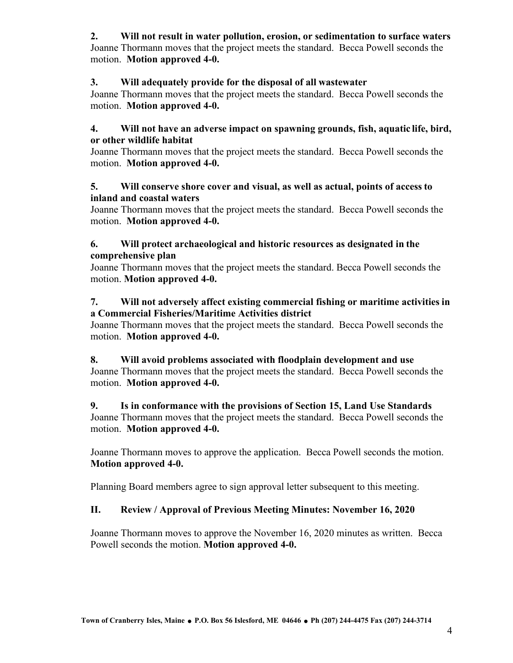## **2. Will not result in water pollution, erosion, or sedimentation to surface waters**

Joanne Thormann moves that the project meets the standard. Becca Powell seconds the motion. **Motion approved 4-0.**

#### **3. Will adequately provide for the disposal of all wastewater**

Joanne Thormann moves that the project meets the standard. Becca Powell seconds the motion. **Motion approved 4-0.**

#### **4. Will not have an adverse impact on spawning grounds, fish, aquatic life, bird, or other wildlife habitat**

Joanne Thormann moves that the project meets the standard. Becca Powell seconds the motion. **Motion approved 4-0.** 

#### **5. Will conserve shore cover and visual, as well as actual, points of access to inland and coastal waters**

Joanne Thormann moves that the project meets the standard. Becca Powell seconds the motion. **Motion approved 4-0.**

#### **6. Will protect archaeological and historic resources as designated in the comprehensive plan**

Joanne Thormann moves that the project meets the standard. Becca Powell seconds the motion. **Motion approved 4-0.** 

#### **7. Will not adversely affect existing commercial fishing or maritime activities in a Commercial Fisheries/Maritime Activities district**

Joanne Thormann moves that the project meets the standard. Becca Powell seconds the motion. **Motion approved 4-0.**

#### **8. Will avoid problems associated with floodplain development and use**

Joanne Thormann moves that the project meets the standard. Becca Powell seconds the motion. **Motion approved 4-0.**

#### **9. Is in conformance with the provisions of Section 15, Land Use Standards**  Joanne Thormann moves that the project meets the standard. Becca Powell seconds the motion. **Motion approved 4-0.**

Joanne Thormann moves to approve the application. Becca Powell seconds the motion. **Motion approved 4-0.**

Planning Board members agree to sign approval letter subsequent to this meeting.

## **II. Review / Approval of Previous Meeting Minutes: November 16, 2020**

Joanne Thormann moves to approve the November 16, 2020 minutes as written. Becca Powell seconds the motion. **Motion approved 4-0.**